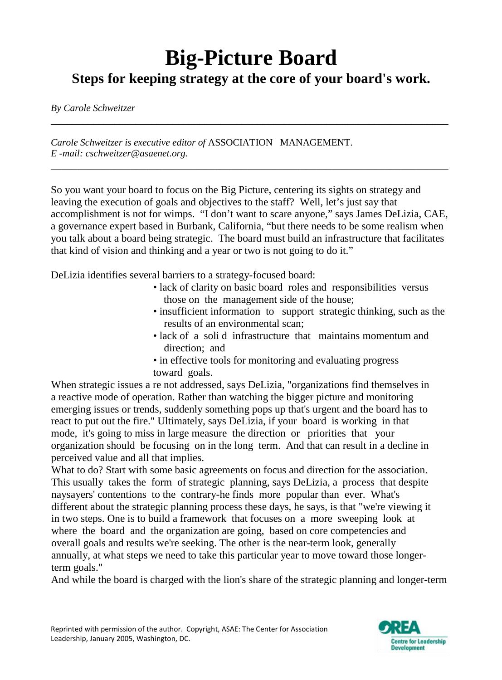## **Big-Picture Board Steps for keeping strategy at the core of your board's work.**

**\_\_\_\_\_\_\_\_\_\_\_\_\_\_\_\_\_\_\_\_\_\_\_\_\_\_\_\_\_\_\_\_\_\_\_\_\_\_\_\_\_\_\_\_\_\_\_\_\_\_\_\_\_\_\_\_\_\_\_\_\_\_\_\_\_\_\_\_\_\_\_\_\_\_\_**

\_\_\_\_\_\_\_\_\_\_\_\_\_\_\_\_\_\_\_\_\_\_\_\_\_\_\_\_\_\_\_\_\_\_\_\_\_\_\_\_\_\_\_\_\_\_\_\_\_\_\_\_\_\_\_\_\_\_\_\_\_\_\_\_\_\_\_\_\_\_\_\_\_\_\_

*By Carole Schweitzer*

*Carole Schweitzer is executive editor of* ASSOCIATION MANAGEMENT. *E -mail[: cschweitzer@asaenet.org.](mailto:cschweitzer@asaenet.org)*

So you want your board to focus on the Big Picture, centering its sights on strategy and leaving the execution of goals and objectives to the staff? Well, let's just say that accomplishment is not for wimps. "I don't want to scare anyone," says James DeLizia, CAE, a governance expert based in Burbank, California, "but there needs to be some realism when you talk about a board being strategic. The board must build an infrastructure that facilitates that kind of vision and thinking and a year or two is not going to do it."

DeLizia identifies several barriers to a strategy-focused board:

- lack of clarity on basic board roles and responsibilities versus those on the management side of the house;
- insufficient information to support strategic thinking, such as the results of an environmental scan;
- lack of a soli d infrastructure that maintains momentum and direction; and
- in effective tools for monitoring and evaluating progress toward goals.

When strategic issues a re not addressed, says DeLizia, "organizations find themselves in a reactive mode of operation. Rather than watching the bigger picture and monitoring emerging issues or trends, suddenly something pops up that's urgent and the board has to react to put out the fire." Ultimately, says DeLizia, if your board is working in that mode, it's going to miss in large measure the direction or priorities that your organization should be focusing on in the long term. And that can result in a decline in perceived value and all that implies.

What to do? Start with some basic agreements on focus and direction for the association. This usually takes the form of strategic planning, says DeLizia, a process that despite naysayers' contentions to the contrary-he finds more popular than ever. What's different about the strategic planning process these days, he says, is that "we're viewing it in two steps. One is to build a framework that focuses on a more sweeping look at where the board and the organization are going, based on core competencies and overall goals and results we're seeking. The other is the near-term look, generally annually, at what steps we need to take this particular year to move toward those longerterm goals."

And while the board is charged with the lion's share of the strategic planning and longer-term

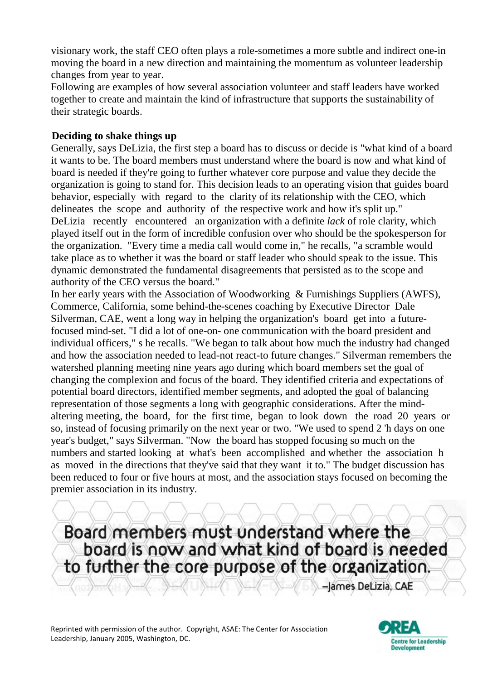visionary work, the staff CEO often plays a role-sometimes a more subtle and indirect one-in moving the board in a new direction and maintaining the momentum as volunteer leadership changes from year to year.

Following are examples of how several association volunteer and staff leaders have worked together to create and maintain the kind of infrastructure that supports the sustainability of their strategic boards.

## **Deciding to shake things up**

Generally, says DeLizia, the first step a board has to discuss or decide is "what kind of a board it wants to be. The board members must understand where the board is now and what kind of board is needed if they're going to further whatever core purpose and value they decide the organization is going to stand for. This decision leads to an operating vision that guides board behavior, especially with regard to the clarity of its relationship with the CEO, which delineates the scope and authority of the respective work and how it's split up." DeLizia recently encountered an organization with a definite *lack* of role clarity, which played itself out in the form of incredible confusion over who should be the spokesperson for the organization. "Every time a media call would come in," he recalls, "a scramble would take place as to whether it was the board or staff leader who should speak to the issue. This dynamic demonstrated the fundamental disagreements that persisted as to the scope and authority of the CEO versus the board."

In her early years with the Association of Woodworking & Furnishings Suppliers (AWFS), Commerce, California, some behind-the-scenes coaching by Executive Director Dale Silverman, CAE, went a long way in helping the organization's board get into a futurefocused mind-set. "I did a lot of one-on- one communication with the board president and individual officers," s he recalls. "We began to talk about how much the industry had changed and how the association needed to lead-not react-to future changes." Silverman remembers the watershed planning meeting nine years ago during which board members set the goal of changing the complexion and focus of the board. They identified criteria and expectations of potential board directors, identified member segments, and adopted the goal of balancing representation of those segments a long with geographic considerations. After the mindaltering meeting, the board, for the first time, began to look down the road 20 years or so, instead of focusing primarily on the next year or two. "We used to spend 2 'h days on one year's budget," says Silverman. "Now the board has stopped focusing so much on the numbers and started looking at what's been accomplished and whether the association h as moved in the directions that they've said that they want it to." The budget discussion has been reduced to four or five hours at most, and the association stays focused on becoming the premier association in its industry.

Board members must understand where the board is now and what kind of board is needed to further the core purpose of the organization.

-James DeLizia, CAE

Reprinted with permission of the author. Copyright, ASAE: The Center for Association Leadership, January 2005, Washington, DC.

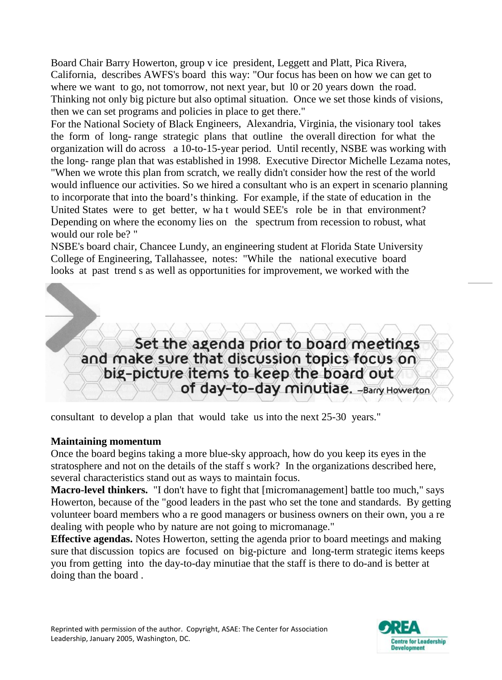Board Chair Barry Howerton, group v ice president, Leggett and Platt, Pica Rivera, California, describes AWFS's board this way: "Our focus has been on how we can get to where we want to go, not tomorrow, not next year, but 10 or 20 years down the road. Thinking not only big picture but also optimal situation. Once we set those kinds of visions, then we can set programs and policies in place to get there."

For the National Society of Black Engineers, Alexandria, Virginia, the visionary tool takes the form of long- range strategic plans that outline the overall direction for what the organization will do across a 10-to-15-year period. Until recently, NSBE was working with the long- range plan that was established in 1998. Executive Director Michelle Lezama notes, "When we wrote this plan from scratch, we really didn't consider how the rest of the world would influence our activities. So we hired a consultant who is an expert in scenario planning to incorporate that into the board's thinking. For example, if the state of education in the United States were to get better, w ha t would SEE's role be in that environment? Depending on where the economy lies on the spectrum from recession to robust, what would our role be? "

NSBE's board chair, Chancee Lundy, an engineering student at Florida State University College of Engineering, Tallahassee, notes: "While the national executive board looks at past trend s as well as opportunities for improvement, we worked with the



consultant to develop a plan that would take us into the next 25-30 years."

## **Maintaining momentum**

Once the board begins taking a more blue-sky approach, how do you keep its eyes in the stratosphere and not on the details of the staff s work? In the organizations described here, several characteristics stand out as ways to maintain focus.

**Macro-level thinkers.** "I don't have to fight that [micromanagement] battle too much," says Howerton, because of the "good leaders in the past who set the tone and standards. By getting volunteer board members who a re good managers or business owners on their own, you a re dealing with people who by nature are not going to micromanage."

**Effective agendas.** Notes Howerton, setting the agenda prior to board meetings and making sure that discussion topics are focused on big-picture and long-term strategic items keeps you from getting into the day-to-day minutiae that the staff is there to do-and is better at doing than the board .

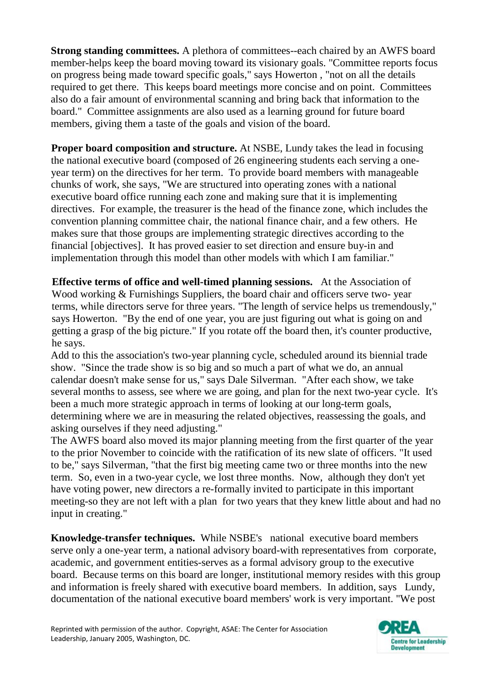**Strong standing committees.** A plethora of committees--each chaired by an AWFS board member-helps keep the board moving toward its visionary goals. "Committee reports focus on progress being made toward specific goals," says Howerton , "not on all the details required to get there. This keeps board meetings more concise and on point. Committees also do a fair amount of environmental scanning and bring back that information to the board." Committee assignments are also used as a learning ground for future board members, giving them a taste of the goals and vision of the board.

**Proper board composition and structure.** At NSBE, Lundy takes the lead in focusing the national executive board (composed of 26 engineering students each serving a oneyear term) on the directives for her term. To provide board members with manageable chunks of work, she says, "We are structured into operating zones with a national executive board office running each zone and making sure that it is implementing directives. For example, the treasurer is the head of the finance zone, which includes the convention planning committee chair, the national finance chair, and a few others. He makes sure that those groups are implementing strategic directives according to the financial [objectives]. It has proved easier to set direction and ensure buy-in and implementation through this model than other models with which I am familiar."

**Effective terms of office and well-timed planning sessions.** At the Association of Wood working & Furnishings Suppliers, the board chair and officers serve two- year terms, while directors serve for three years. "The length of service helps us tremendously," says Howerton. "By the end of one year, you are just figuring out what is going on and getting a grasp of the big picture." If you rotate off the board then, it's counter productive, he says.

Add to this the association's two-year planning cycle, scheduled around its biennial trade show. "Since the trade show is so big and so much a part of what we do, an annual calendar doesn't make sense for us," says Dale Silverman. "After each show, we take several months to assess, see where we are going, and plan for the next two-year cycle. It's been a much more strategic approach in terms of looking at our long-term goals, determining where we are in measuring the related objectives, reassessing the goals, and asking ourselves if they need adjusting."

The AWFS board also moved its major planning meeting from the first quarter of the year to the prior November to coincide with the ratification of its new slate of officers. "It used to be," says Silverman, "that the first big meeting came two or three months into the new term. So, even in a two-year cycle, we lost three months. Now, although they don't yet have voting power, new directors a re-formally invited to participate in this important meeting-so they are not left with a plan for two years that they knew little about and had no input in creating."

**Knowledge-transfer techniques.** While NSBE's national executive board members serve only a one-year term, a national advisory board-with representatives from corporate, academic, and government entities-serves as a formal advisory group to the executive board. Because terms on this board are longer, institutional memory resides with this group and information is freely shared with executive board members. In addition, says Lundy, documentation of the national executive board members' work is very important. "We post